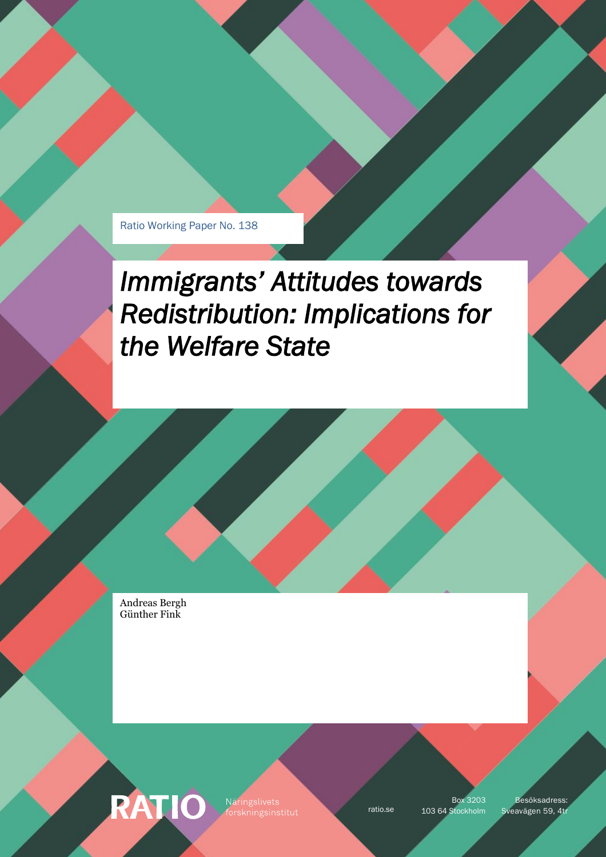Ratio Working Paper No. 138

# *Immigrants' Attitudes towards Redistribution: Implications for the Welfare State*

Andreas Bergh Günther Fink

**RATIO** 

Näringslivets

Box 3203

ratio.se 103 64 Stockholm Sveavägen 59, 4tr Besöksadress: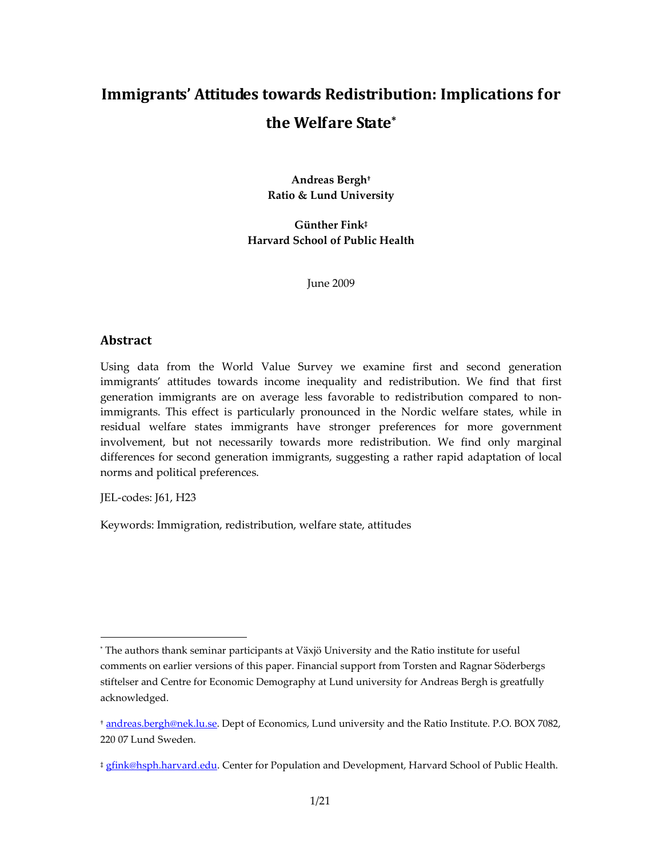# **Immigrants' Attitudes towards Redistribution: Implications for the Welfare State\***

**Andreas Bergh† Ratio & Lund University** 

**Günther Fink‡ Harvard School of Public Health** 

June 2009

#### **Abstract**

Using data from the World Value Survey we examine first and second generation immigrants' attitudes towards income inequality and redistribution. We find that first generation immigrants are on average less favorable to redistribution compared to nonimmigrants. This effect is particularly pronounced in the Nordic welfare states, while in residual welfare states immigrants have stronger preferences for more government involvement, but not necessarily towards more redistribution. We find only marginal differences for second generation immigrants, suggesting a rather rapid adaptation of local norms and political preferences.

JEL-codes: J61, H23

 $\ddot{ }$ 

Keywords: Immigration, redistribution, welfare state, attitudes

<sup>\*</sup> The authors thank seminar participants at Växjö University and the Ratio institute for useful comments on earlier versions of this paper. Financial support from Torsten and Ragnar Söderbergs stiftelser and Centre for Economic Demography at Lund university for Andreas Bergh is greatfully acknowledged.

<sup>†</sup> andreas.bergh@nek.lu.se. Dept of Economics, Lund university and the Ratio Institute. P.O. BOX 7082, 220 07 Lund Sweden.

<sup>‡</sup> gfink@hsph.harvard.edu. Center for Population and Development, Harvard School of Public Health.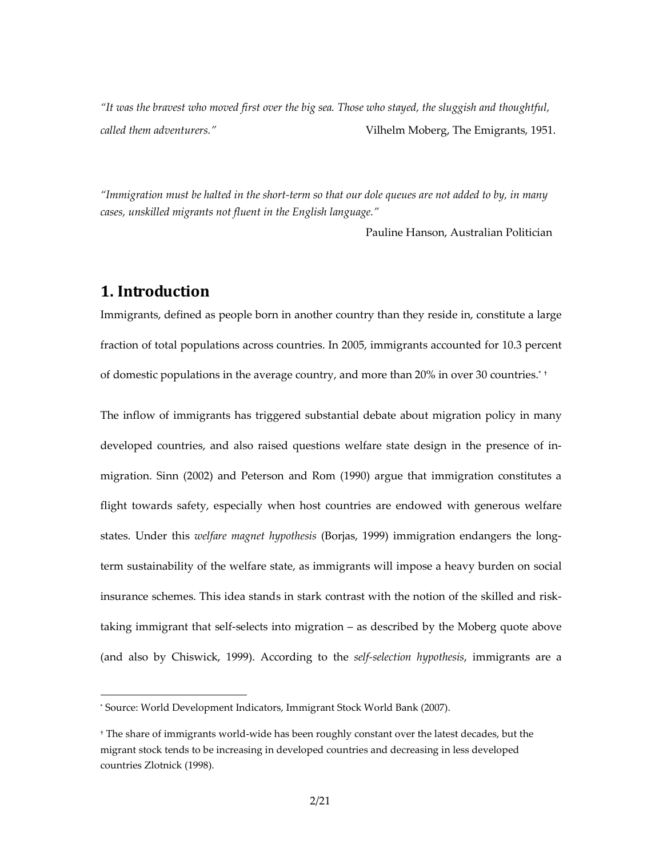*"It was the bravest who moved first over the big sea. Those who stayed, the sluggish and thoughtful, called them adventurers."* Vilhelm Moberg, The Emigrants, 1951.

*"Immigration must be halted in the short-term so that our dole queues are not added to by, in many cases, unskilled migrants not fluent in the English language."* 

Pauline Hanson, Australian Politician

#### **1. Introduction**

j

Immigrants, defined as people born in another country than they reside in, constitute a large fraction of total populations across countries. In 2005, immigrants accounted for 10.3 percent of domestic populations in the average country, and more than 20% in over 30 countries.\* †

The inflow of immigrants has triggered substantial debate about migration policy in many developed countries, and also raised questions welfare state design in the presence of inmigration. Sinn (2002) and Peterson and Rom (1990) argue that immigration constitutes a flight towards safety, especially when host countries are endowed with generous welfare states. Under this *welfare magnet hypothesis* (Borjas, 1999) immigration endangers the longterm sustainability of the welfare state, as immigrants will impose a heavy burden on social insurance schemes. This idea stands in stark contrast with the notion of the skilled and risktaking immigrant that self-selects into migration – as described by the Moberg quote above (and also by Chiswick, 1999). According to the *self-selection hypothesis*, immigrants are a

<sup>\*</sup> Source: World Development Indicators, Immigrant Stock World Bank (2007).

<sup>†</sup> The share of immigrants world-wide has been roughly constant over the latest decades, but the migrant stock tends to be increasing in developed countries and decreasing in less developed countries Zlotnick (1998).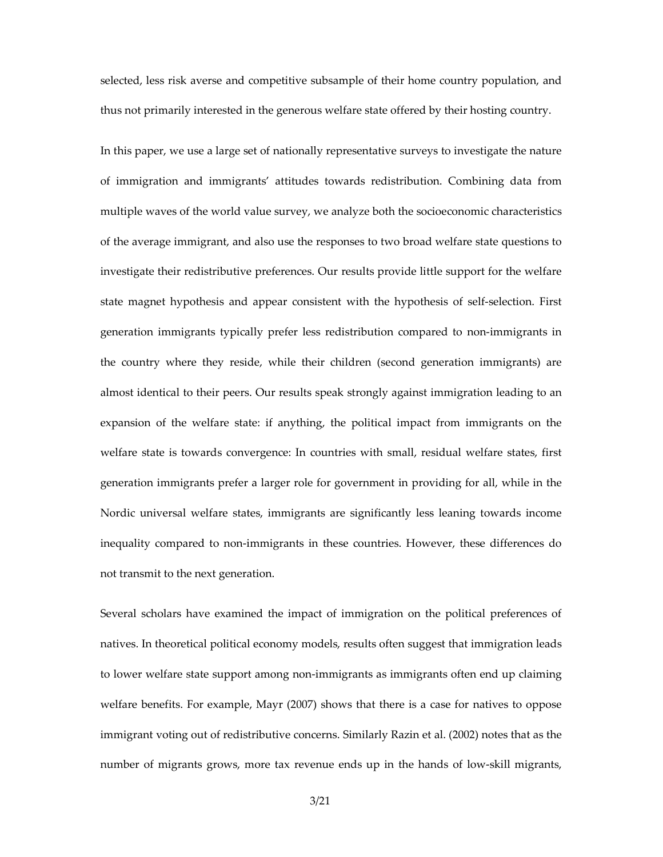selected, less risk averse and competitive subsample of their home country population, and thus not primarily interested in the generous welfare state offered by their hosting country.

In this paper, we use a large set of nationally representative surveys to investigate the nature of immigration and immigrants' attitudes towards redistribution. Combining data from multiple waves of the world value survey, we analyze both the socioeconomic characteristics of the average immigrant, and also use the responses to two broad welfare state questions to investigate their redistributive preferences. Our results provide little support for the welfare state magnet hypothesis and appear consistent with the hypothesis of self-selection. First generation immigrants typically prefer less redistribution compared to non-immigrants in the country where they reside, while their children (second generation immigrants) are almost identical to their peers. Our results speak strongly against immigration leading to an expansion of the welfare state: if anything, the political impact from immigrants on the welfare state is towards convergence: In countries with small, residual welfare states, first generation immigrants prefer a larger role for government in providing for all, while in the Nordic universal welfare states, immigrants are significantly less leaning towards income inequality compared to non-immigrants in these countries. However, these differences do not transmit to the next generation.

Several scholars have examined the impact of immigration on the political preferences of natives. In theoretical political economy models, results often suggest that immigration leads to lower welfare state support among non-immigrants as immigrants often end up claiming welfare benefits. For example, Mayr (2007) shows that there is a case for natives to oppose immigrant voting out of redistributive concerns. Similarly Razin et al. (2002) notes that as the number of migrants grows, more tax revenue ends up in the hands of low-skill migrants,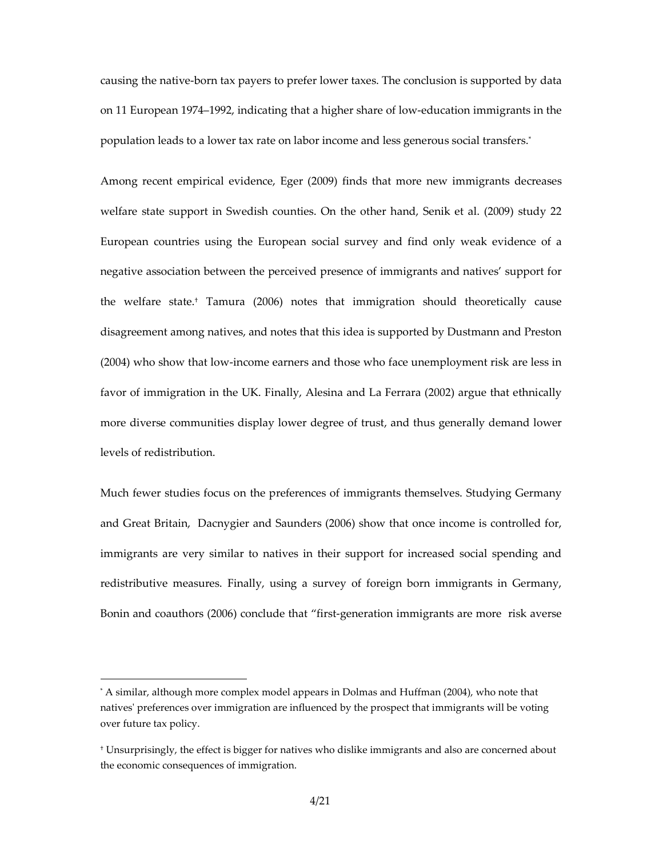causing the native-born tax payers to prefer lower taxes. The conclusion is supported by data on 11 European 1974–1992, indicating that a higher share of low-education immigrants in the population leads to a lower tax rate on labor income and less generous social transfers.\*

Among recent empirical evidence, Eger (2009) finds that more new immigrants decreases welfare state support in Swedish counties. On the other hand, Senik et al. (2009) study 22 European countries using the European social survey and find only weak evidence of a negative association between the perceived presence of immigrants and natives' support for the welfare state.† Tamura (2006) notes that immigration should theoretically cause disagreement among natives, and notes that this idea is supported by Dustmann and Preston (2004) who show that low-income earners and those who face unemployment risk are less in favor of immigration in the UK. Finally, Alesina and La Ferrara (2002) argue that ethnically more diverse communities display lower degree of trust, and thus generally demand lower levels of redistribution.

Much fewer studies focus on the preferences of immigrants themselves. Studying Germany and Great Britain, Dacnygier and Saunders (2006) show that once income is controlled for, immigrants are very similar to natives in their support for increased social spending and redistributive measures. Finally, using a survey of foreign born immigrants in Germany, Bonin and coauthors (2006) conclude that "first-generation immigrants are more risk averse

j

<sup>\*</sup> A similar, although more complex model appears in Dolmas and Huffman (2004), who note that natives' preferences over immigration are influenced by the prospect that immigrants will be voting over future tax policy.

<sup>†</sup> Unsurprisingly, the effect is bigger for natives who dislike immigrants and also are concerned about the economic consequences of immigration.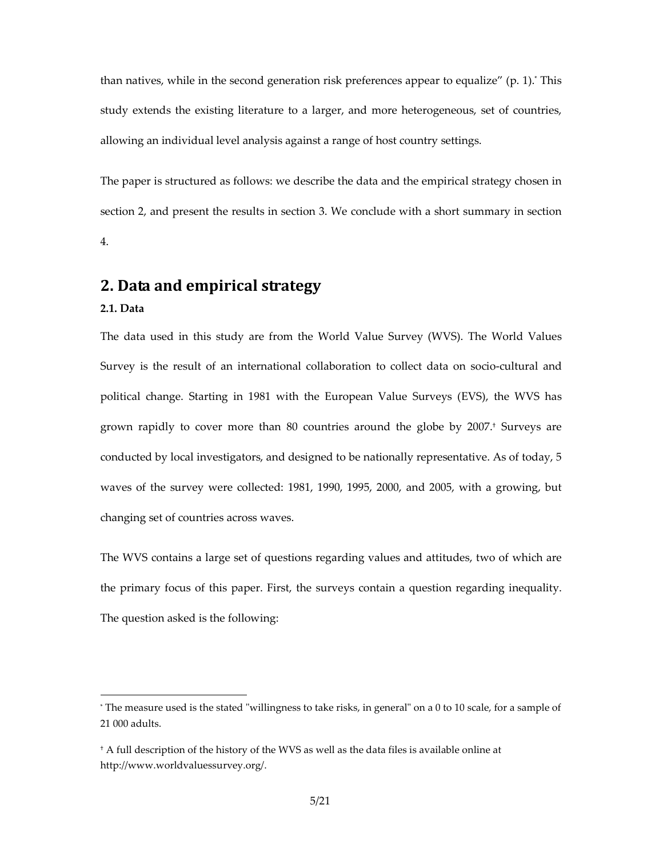than natives, while in the second generation risk preferences appear to equalize" (p. 1).\* This study extends the existing literature to a larger, and more heterogeneous, set of countries, allowing an individual level analysis against a range of host country settings.

The paper is structured as follows: we describe the data and the empirical strategy chosen in section 2, and present the results in section 3. We conclude with a short summary in section 4.

### **2. Data and empirical strategy**

#### **2.1. Data**

j

The data used in this study are from the World Value Survey (WVS). The World Values Survey is the result of an international collaboration to collect data on socio-cultural and political change. Starting in 1981 with the European Value Surveys (EVS), the WVS has grown rapidly to cover more than 80 countries around the globe by 2007.† Surveys are conducted by local investigators, and designed to be nationally representative. As of today, 5 waves of the survey were collected: 1981, 1990, 1995, 2000, and 2005, with a growing, but changing set of countries across waves.

The WVS contains a large set of questions regarding values and attitudes, two of which are the primary focus of this paper. First, the surveys contain a question regarding inequality. The question asked is the following:

<sup>\*</sup> The measure used is the stated "willingness to take risks, in general" on a 0 to 10 scale, for a sample of 21 000 adults.

<sup>†</sup> A full description of the history of the WVS as well as the data files is available online at http://www.worldvaluessurvey.org/.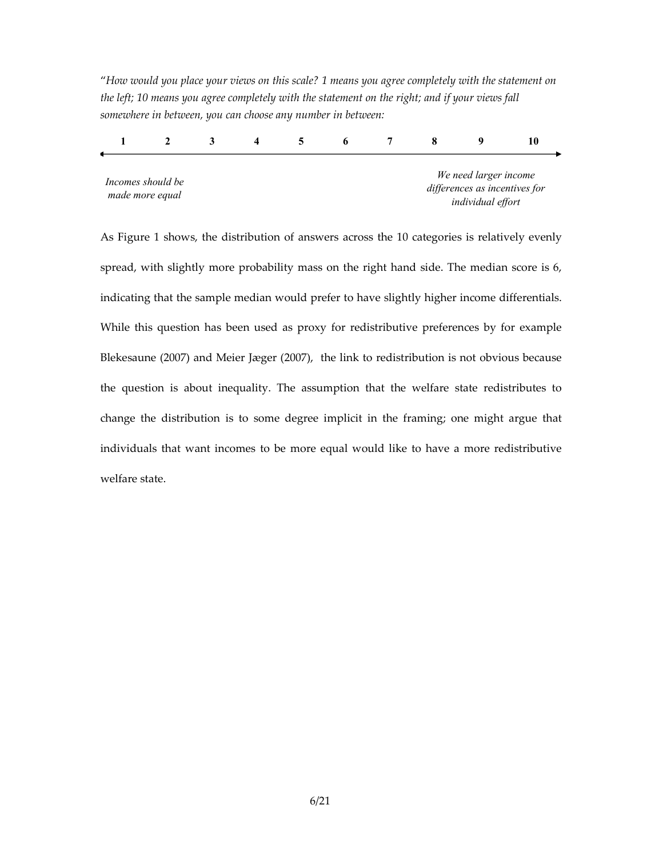"*How would you place your views on this scale? 1 means you agree completely with the statement on the left; 10 means you agree completely with the statement on the right; and if your views fall somewhere in between, you can choose any number in between:* 

| Incomes should be<br>made more equal |  |  |  |  |  | We need larger income<br>differences as incentives for<br>individual effort |  |
|--------------------------------------|--|--|--|--|--|-----------------------------------------------------------------------------|--|

As Figure 1 shows, the distribution of answers across the 10 categories is relatively evenly spread, with slightly more probability mass on the right hand side. The median score is 6, indicating that the sample median would prefer to have slightly higher income differentials. While this question has been used as proxy for redistributive preferences by for example Blekesaune (2007) and Meier Jæger (2007), the link to redistribution is not obvious because the question is about inequality. The assumption that the welfare state redistributes to change the distribution is to some degree implicit in the framing; one might argue that individuals that want incomes to be more equal would like to have a more redistributive welfare state.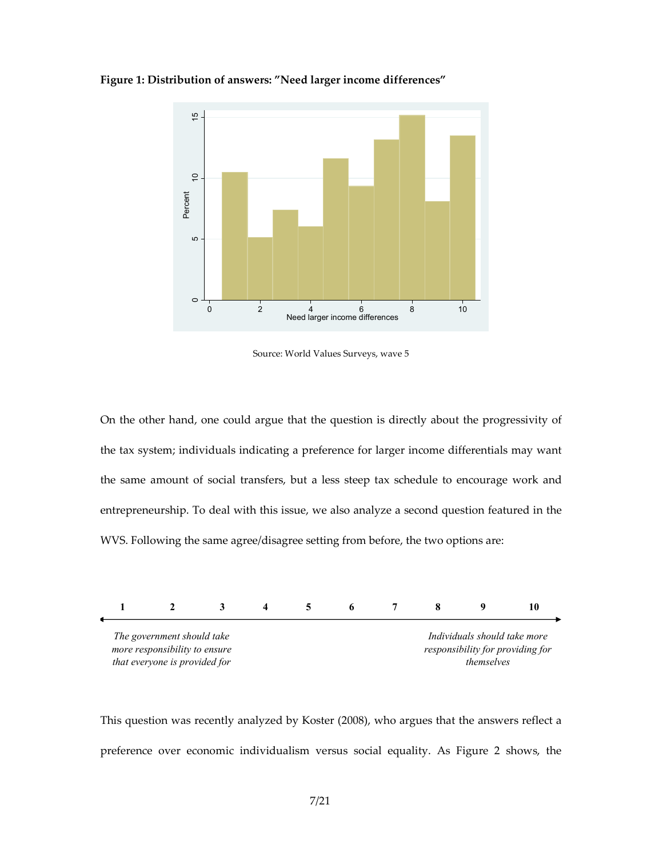



Source: World Values Surveys, wave 5

On the other hand, one could argue that the question is directly about the progressivity of the tax system; individuals indicating a preference for larger income differentials may want the same amount of social transfers, but a less steep tax schedule to encourage work and entrepreneurship. To deal with this issue, we also analyze a second question featured in the WVS. Following the same agree/disagree setting from before, the two options are:



This question was recently analyzed by Koster (2008), who argues that the answers reflect a preference over economic individualism versus social equality. As Figure 2 shows, the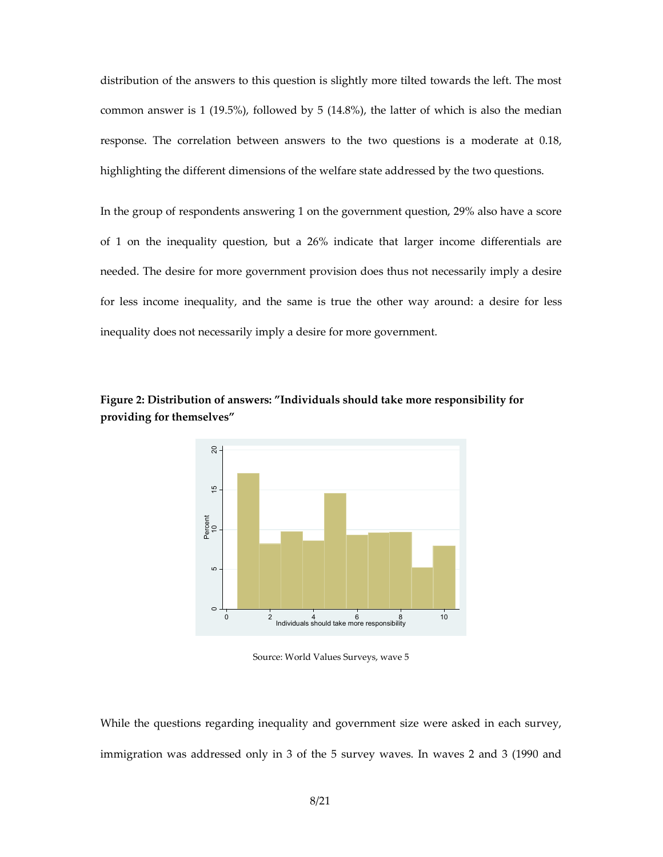distribution of the answers to this question is slightly more tilted towards the left. The most common answer is 1 (19.5%), followed by 5 (14.8%), the latter of which is also the median response. The correlation between answers to the two questions is a moderate at 0.18, highlighting the different dimensions of the welfare state addressed by the two questions.

In the group of respondents answering 1 on the government question, 29% also have a score of 1 on the inequality question, but a 26% indicate that larger income differentials are needed. The desire for more government provision does thus not necessarily imply a desire for less income inequality, and the same is true the other way around: a desire for less inequality does not necessarily imply a desire for more government.



**Figure 2: Distribution of answers: "Individuals should take more responsibility for providing for themselves"** 

Source: World Values Surveys, wave 5

While the questions regarding inequality and government size were asked in each survey, immigration was addressed only in 3 of the 5 survey waves. In waves 2 and 3 (1990 and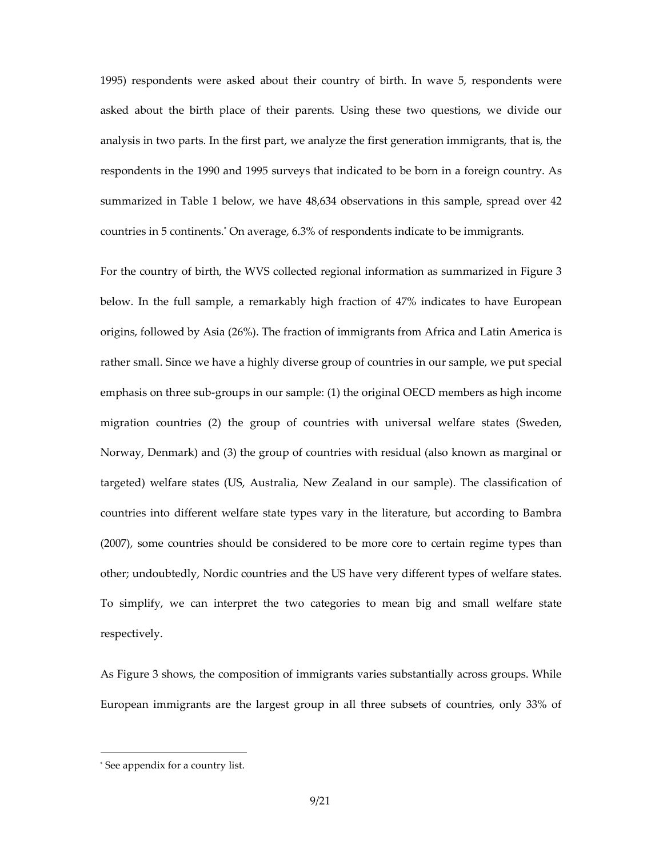1995) respondents were asked about their country of birth. In wave 5, respondents were asked about the birth place of their parents. Using these two questions, we divide our analysis in two parts. In the first part, we analyze the first generation immigrants, that is, the respondents in the 1990 and 1995 surveys that indicated to be born in a foreign country. As summarized in Table 1 below, we have 48,634 observations in this sample, spread over 42 countries in 5 continents.\* On average, 6.3% of respondents indicate to be immigrants.

For the country of birth, the WVS collected regional information as summarized in Figure 3 below. In the full sample, a remarkably high fraction of 47% indicates to have European origins, followed by Asia (26%). The fraction of immigrants from Africa and Latin America is rather small. Since we have a highly diverse group of countries in our sample, we put special emphasis on three sub-groups in our sample: (1) the original OECD members as high income migration countries (2) the group of countries with universal welfare states (Sweden, Norway, Denmark) and (3) the group of countries with residual (also known as marginal or targeted) welfare states (US, Australia, New Zealand in our sample). The classification of countries into different welfare state types vary in the literature, but according to Bambra (2007), some countries should be considered to be more core to certain regime types than other; undoubtedly, Nordic countries and the US have very different types of welfare states. To simplify, we can interpret the two categories to mean big and small welfare state respectively.

As Figure 3 shows, the composition of immigrants varies substantially across groups. While European immigrants are the largest group in all three subsets of countries, only 33% of

j

<sup>\*</sup> See appendix for a country list.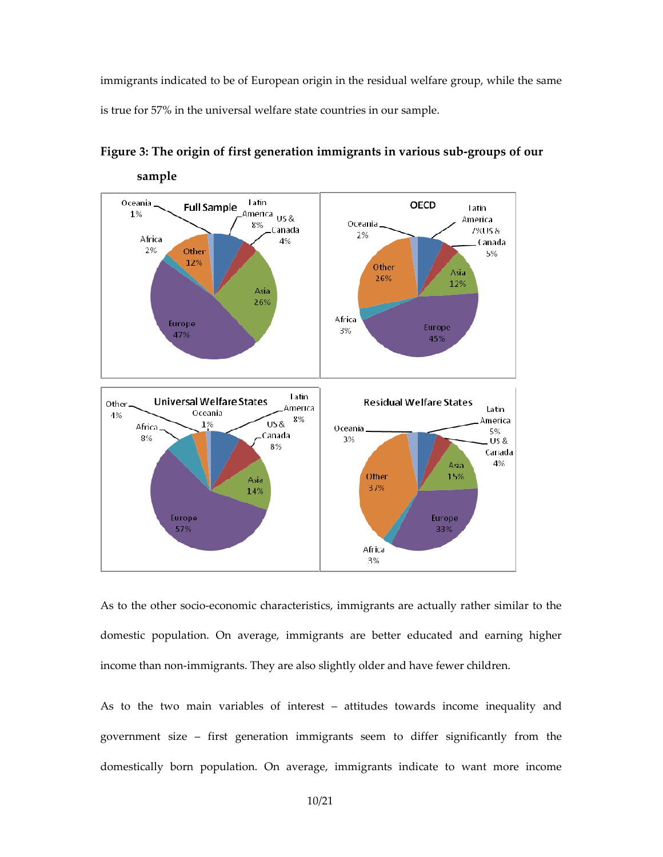immigrants indicated to be of European origin in the residual welfare group, while the same is true for 57% in the universal welfare state countries in our sample.



**Figure 3: The origin of first generation immigrants in various sub-groups of our** 

As to the other socio-economic characteristics, immigrants are actually rather similar to the domestic population. On average, immigrants are better educated and earning higher income than non-immigrants. They are also slightly older and have fewer children.

As to the two main variables of interest – attitudes towards income inequality and government size – first generation immigrants seem to differ significantly from the domestically born population. On average, immigrants indicate to want more income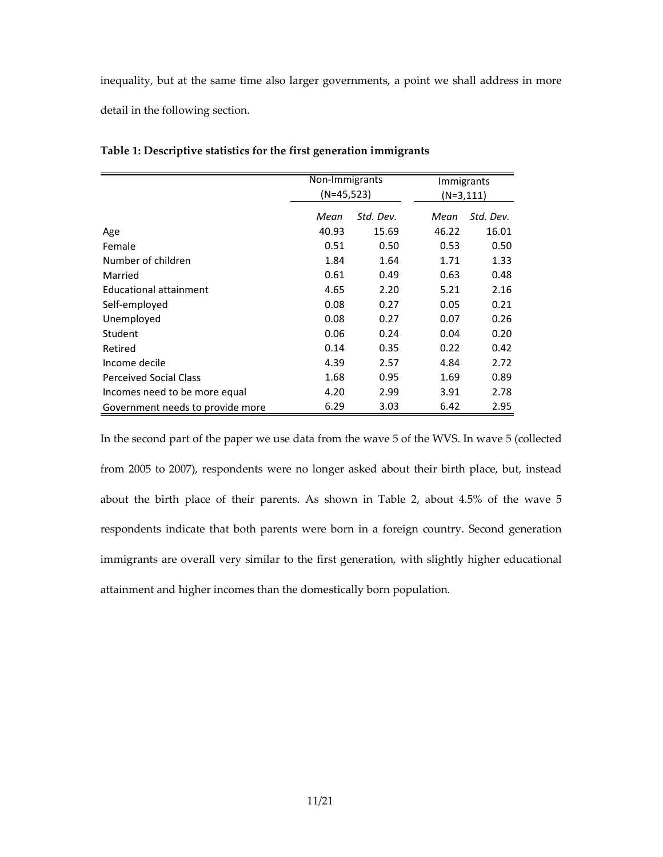inequality, but at the same time also larger governments, a point we shall address in more detail in the following section.

|                                  | Non-Immigrants<br>$(N=45,523)$ |           |              | <b>Immigrants</b> |
|----------------------------------|--------------------------------|-----------|--------------|-------------------|
|                                  |                                |           | $(N=3, 111)$ |                   |
|                                  | Mean                           | Std. Dev. | Mean         | Std. Dev.         |
| Age                              | 40.93                          | 15.69     | 46.22        | 16.01             |
| Female                           | 0.51                           | 0.50      | 0.53         | 0.50              |
| Number of children               | 1.84                           | 1.64      | 1.71         | 1.33              |
| Married                          | 0.61                           | 0.49      | 0.63         | 0.48              |
| Educational attainment           | 4.65                           | 2.20      | 5.21         | 2.16              |
| Self-employed                    | 0.08                           | 0.27      | 0.05         | 0.21              |
| Unemployed                       | 0.08                           | 0.27      | 0.07         | 0.26              |
| Student                          | 0.06                           | 0.24      | 0.04         | 0.20              |
| Retired                          | 0.14                           | 0.35      | 0.22         | 0.42              |
| Income decile                    | 4.39                           | 2.57      | 4.84         | 2.72              |
| <b>Perceived Social Class</b>    | 1.68                           | 0.95      | 1.69         | 0.89              |
| Incomes need to be more equal    | 4.20                           | 2.99      | 3.91         | 2.78              |
| Government needs to provide more | 6.29                           | 3.03      | 6.42         | 2.95              |

**Table 1: Descriptive statistics for the first generation immigrants** 

In the second part of the paper we use data from the wave 5 of the WVS. In wave 5 (collected from 2005 to 2007), respondents were no longer asked about their birth place, but, instead about the birth place of their parents. As shown in Table 2, about 4.5% of the wave 5 respondents indicate that both parents were born in a foreign country. Second generation immigrants are overall very similar to the first generation, with slightly higher educational attainment and higher incomes than the domestically born population.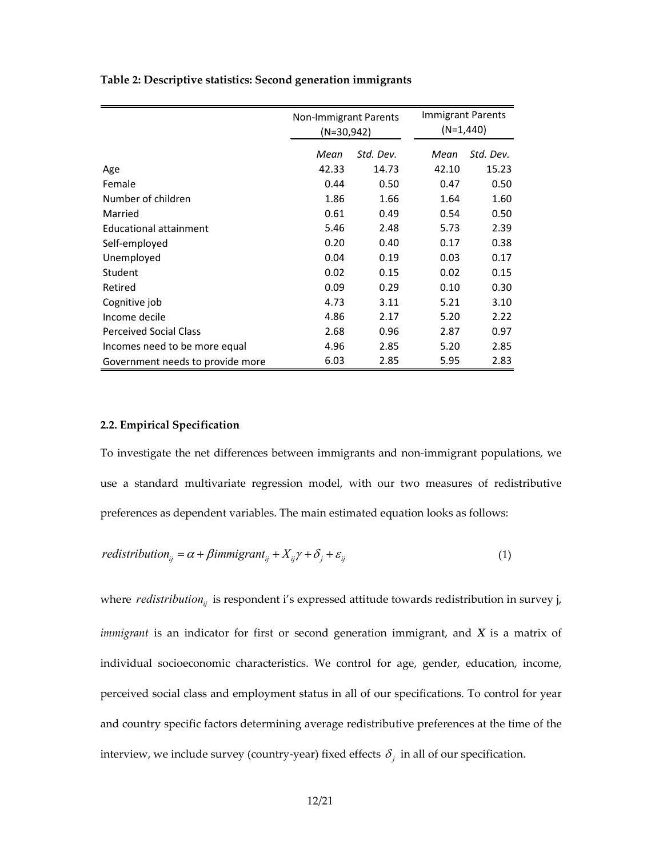| Table 2: Descriptive statistics: Second generation immigrants |  |  |
|---------------------------------------------------------------|--|--|

|                                  | Non-Immigrant Parents<br>$(N=30,942)$ |           |       | Immigrant Parents<br>$(N=1,440)$ |  |
|----------------------------------|---------------------------------------|-----------|-------|----------------------------------|--|
|                                  | Mean                                  | Std. Dev. | Mean  | Std. Dev.                        |  |
| Age                              | 42.33                                 | 14.73     | 42.10 | 15.23                            |  |
| Female                           | 0.44                                  | 0.50      | 0.47  | 0.50                             |  |
| Number of children               | 1.86                                  | 1.66      | 1.64  | 1.60                             |  |
| Married                          | 0.61                                  | 0.49      | 0.54  | 0.50                             |  |
| Educational attainment           | 5.46                                  | 2.48      | 5.73  | 2.39                             |  |
| Self-employed                    | 0.20                                  | 0.40      | 0.17  | 0.38                             |  |
| Unemployed                       | 0.04                                  | 0.19      | 0.03  | 0.17                             |  |
| Student                          | 0.02                                  | 0.15      | 0.02  | 0.15                             |  |
| Retired                          | 0.09                                  | 0.29      | 0.10  | 0.30                             |  |
| Cognitive job                    | 4.73                                  | 3.11      | 5.21  | 3.10                             |  |
| Income decile                    | 4.86                                  | 2.17      | 5.20  | 2.22                             |  |
| <b>Perceived Social Class</b>    | 2.68                                  | 0.96      | 2.87  | 0.97                             |  |
| Incomes need to be more equal    | 4.96                                  | 2.85      | 5.20  | 2.85                             |  |
| Government needs to provide more | 6.03                                  | 2.85      | 5.95  | 2.83                             |  |

#### **2.2. Empirical Specification**

To investigate the net differences between immigrants and non-immigrant populations, we use a standard multivariate regression model, with our two measures of redistributive preferences as dependent variables. The main estimated equation looks as follows:

$$
redistribution_{ij} = \alpha + \beta \text{immigrant}_{ij} + X_{ij} \gamma + \delta_j + \varepsilon_{ij}
$$
\n<sup>(1)</sup>

where *redistribution*<sub>*ij*</sub> is respondent i's expressed attitude towards redistribution in survey j, *immigrant* is an indicator for first or second generation immigrant, and *X* is a matrix of individual socioeconomic characteristics. We control for age, gender, education, income, perceived social class and employment status in all of our specifications. To control for year and country specific factors determining average redistributive preferences at the time of the interview, we include survey (country-year) fixed effects  $\delta_i$  in all of our specification.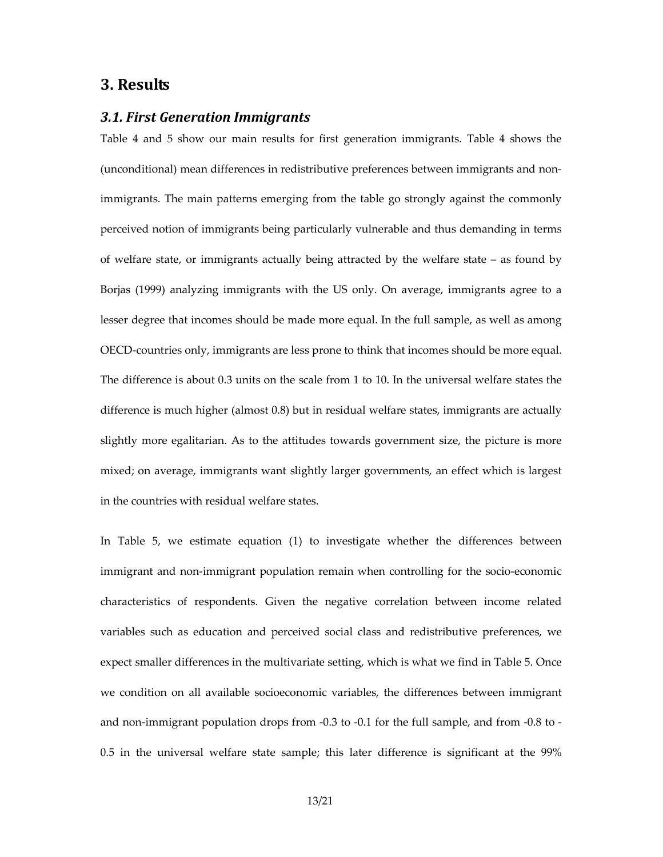#### **3. Results**

#### *3.1. First Generation Immigrants*

Table 4 and 5 show our main results for first generation immigrants. Table 4 shows the (unconditional) mean differences in redistributive preferences between immigrants and nonimmigrants. The main patterns emerging from the table go strongly against the commonly perceived notion of immigrants being particularly vulnerable and thus demanding in terms of welfare state, or immigrants actually being attracted by the welfare state – as found by Borjas (1999) analyzing immigrants with the US only. On average, immigrants agree to a lesser degree that incomes should be made more equal. In the full sample, as well as among OECD-countries only, immigrants are less prone to think that incomes should be more equal. The difference is about 0.3 units on the scale from 1 to 10. In the universal welfare states the difference is much higher (almost 0.8) but in residual welfare states, immigrants are actually slightly more egalitarian. As to the attitudes towards government size, the picture is more mixed; on average, immigrants want slightly larger governments, an effect which is largest in the countries with residual welfare states.

In Table 5, we estimate equation (1) to investigate whether the differences between immigrant and non-immigrant population remain when controlling for the socio-economic characteristics of respondents. Given the negative correlation between income related variables such as education and perceived social class and redistributive preferences, we expect smaller differences in the multivariate setting, which is what we find in Table 5. Once we condition on all available socioeconomic variables, the differences between immigrant and non-immigrant population drops from -0.3 to -0.1 for the full sample, and from -0.8 to -0.5 in the universal welfare state sample; this later difference is significant at the 99%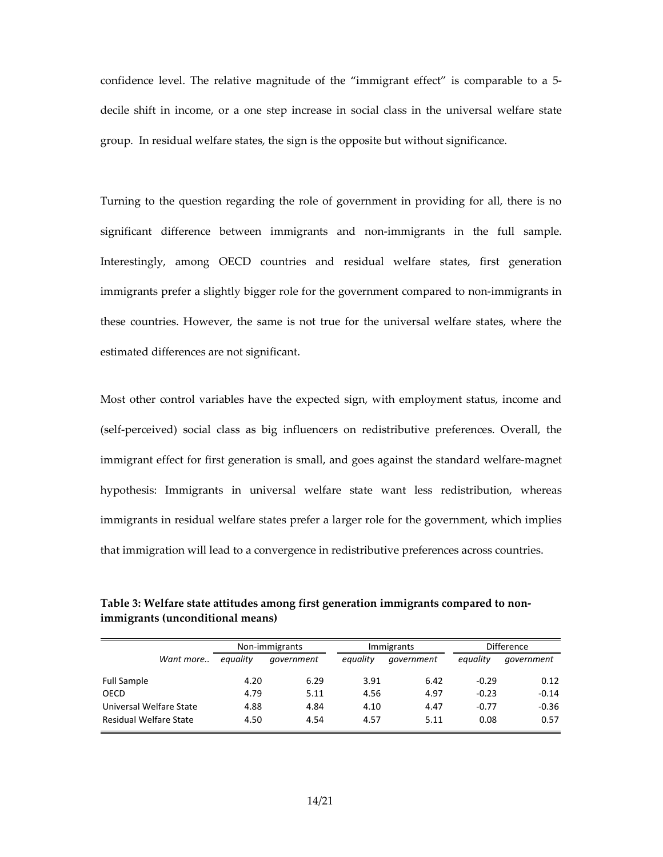confidence level. The relative magnitude of the "immigrant effect" is comparable to a 5 decile shift in income, or a one step increase in social class in the universal welfare state group. In residual welfare states, the sign is the opposite but without significance.

Turning to the question regarding the role of government in providing for all, there is no significant difference between immigrants and non-immigrants in the full sample. Interestingly, among OECD countries and residual welfare states, first generation immigrants prefer a slightly bigger role for the government compared to non-immigrants in these countries. However, the same is not true for the universal welfare states, where the estimated differences are not significant.

Most other control variables have the expected sign, with employment status, income and (self-perceived) social class as big influencers on redistributive preferences. Overall, the immigrant effect for first generation is small, and goes against the standard welfare-magnet hypothesis: Immigrants in universal welfare state want less redistribution, whereas immigrants in residual welfare states prefer a larger role for the government, which implies that immigration will lead to a convergence in redistributive preferences across countries.

**Table 3: Welfare state attitudes among first generation immigrants compared to nonimmigrants (unconditional means)** 

|                               |          | Non-immigrants |          | <b>Immigrants</b> |          | <b>Difference</b> |  |
|-------------------------------|----------|----------------|----------|-------------------|----------|-------------------|--|
| Want more                     | equality | government     | eauality | government        | equality | government        |  |
| Full Sample                   | 4.20     | 6.29           | 3.91     | 6.42              | $-0.29$  | 0.12              |  |
| OECD                          | 4.79     | 5.11           | 4.56     | 4.97              | $-0.23$  | $-0.14$           |  |
| Universal Welfare State       | 4.88     | 4.84           | 4.10     | 4.47              | $-0.77$  | $-0.36$           |  |
| <b>Residual Welfare State</b> | 4.50     | 4.54           | 4.57     | 5.11              | 0.08     | 0.57              |  |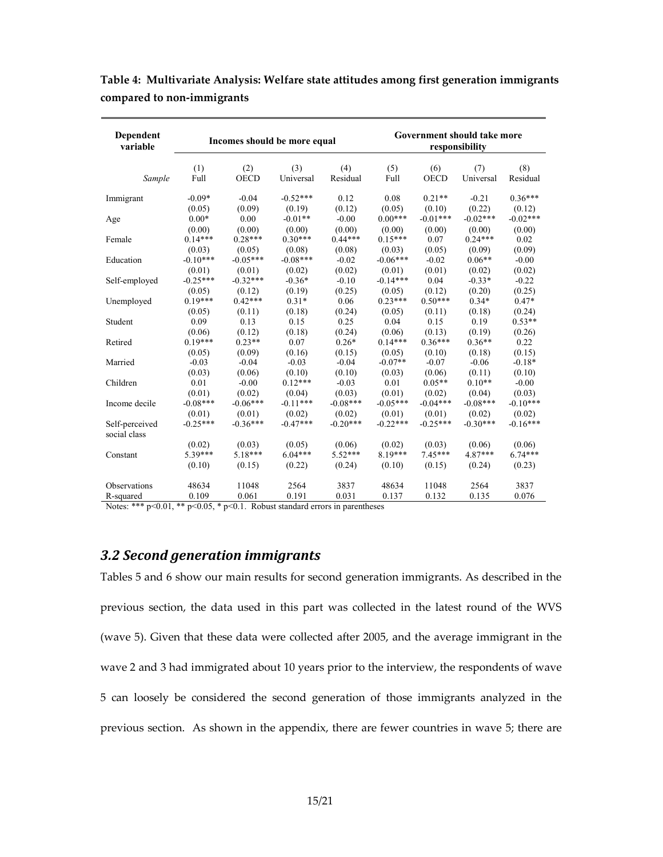| Dependent<br>variable                                                                                                                |             | Incomes should be more equal |                  |                 |             | Government should take more<br>responsibility |                  |                 |  |
|--------------------------------------------------------------------------------------------------------------------------------------|-------------|------------------------------|------------------|-----------------|-------------|-----------------------------------------------|------------------|-----------------|--|
| Sample                                                                                                                               | (1)<br>Full | (2)<br><b>OECD</b>           | (3)<br>Universal | (4)<br>Residual | (5)<br>Full | (6)<br><b>OECD</b>                            | (7)<br>Universal | (8)<br>Residual |  |
| Immigrant                                                                                                                            | $-0.09*$    | $-0.04$                      | $-0.52***$       | 0.12            | 0.08        | $0.21**$                                      | $-0.21$          | $0.36***$       |  |
|                                                                                                                                      | (0.05)      | (0.09)                       | (0.19)           | (0.12)          | (0.05)      | (0.10)                                        | (0.22)           | (0.12)          |  |
| Age                                                                                                                                  | $0.00*$     | 0.00                         | $-0.01**$        | $-0.00$         | $0.00***$   | $-0.01***$                                    | $-0.02***$       | $-0.02***$      |  |
|                                                                                                                                      | (0.00)      | (0.00)                       | (0.00)           | (0.00)          | (0.00)      | (0.00)                                        | (0.00)           | (0.00)          |  |
| Female                                                                                                                               | $0.14***$   | $0.28***$                    | $0.30***$        | $0.44***$       | $0.15***$   | 0.07                                          | $0.24***$        | 0.02            |  |
|                                                                                                                                      | (0.03)      | (0.05)                       | (0.08)           | (0.08)          | (0.03)      | (0.05)                                        | (0.09)           | (0.09)          |  |
| Education                                                                                                                            | $-0.10***$  | $-0.05***$                   | $-0.08***$       | $-0.02$         | $-0.06***$  | $-0.02$                                       | $0.06**$         | $-0.00$         |  |
|                                                                                                                                      | (0.01)      | (0.01)                       | (0.02)           | (0.02)          | (0.01)      | (0.01)                                        | (0.02)           | (0.02)          |  |
| Self-employed                                                                                                                        | $-0.25***$  | $-0.32***$                   | $-0.36*$         | $-0.10$         | $-0.14***$  | 0.04                                          | $-0.33*$         | $-0.22$         |  |
|                                                                                                                                      | (0.05)      | (0.12)                       | (0.19)           | (0.25)          | (0.05)      | (0.12)                                        | (0.20)           | (0.25)          |  |
| Unemployed                                                                                                                           | $0.19***$   | $0.42***$                    | $0.31*$          | 0.06            | $0.23***$   | $0.50***$                                     | $0.34*$          | $0.47*$         |  |
|                                                                                                                                      | (0.05)      | (0.11)                       | (0.18)           | (0.24)          | (0.05)      | (0.11)                                        | (0.18)           | (0.24)          |  |
| Student                                                                                                                              | 0.09        | 0.13                         | 0.15             | 0.25            | 0.04        | 0.15                                          | 0.19             | $0.53**$        |  |
|                                                                                                                                      | (0.06)      | (0.12)                       | (0.18)           | (0.24)          | (0.06)      | (0.13)                                        | (0.19)           | (0.26)          |  |
| Retired                                                                                                                              | $0.19***$   | $0.23**$                     | 0.07             | $0.26*$         | $0.14***$   | $0.36***$                                     | $0.36**$         | 0.22            |  |
|                                                                                                                                      | (0.05)      | (0.09)                       | (0.16)           | (0.15)          | (0.05)      | (0.10)                                        | (0.18)           | (0.15)          |  |
| Married                                                                                                                              | $-0.03$     | $-0.04$                      | $-0.03$          | $-0.04$         | $-0.07**$   | $-0.07$                                       | $-0.06$          | $-0.18*$        |  |
|                                                                                                                                      | (0.03)      | (0.06)                       | (0.10)           | (0.10)          | (0.03)      | (0.06)                                        | (0.11)           | (0.10)          |  |
| Children                                                                                                                             | 0.01        | $-0.00$                      | $0.12***$        | $-0.03$         | 0.01        | $0.05**$                                      | $0.10**$         | $-0.00$         |  |
|                                                                                                                                      | (0.01)      | (0.02)                       | (0.04)           | (0.03)          | (0.01)      | (0.02)                                        | (0.04)           | (0.03)          |  |
| Income decile                                                                                                                        | $-0.08***$  | $-0.06***$                   | $-0.11***$       | $-0.08***$      | $-0.05***$  | $-0.04***$                                    | $-0.08***$       | $-0.10***$      |  |
|                                                                                                                                      | (0.01)      | (0.01)                       | (0.02)           | (0.02)          | (0.01)      | (0.01)                                        | (0.02)           | (0.02)          |  |
| Self-perceived                                                                                                                       | $-0.25***$  | $-0.36***$                   | $-0.47***$       | $-0.20***$      | $-0.22***$  | $-0.25***$                                    | $-0.30***$       | $-0.16***$      |  |
| social class                                                                                                                         |             |                              |                  |                 |             |                                               |                  |                 |  |
|                                                                                                                                      | (0.02)      | (0.03)                       | (0.05)           | (0.06)          | (0.02)      | (0.03)                                        | (0.06)           | (0.06)          |  |
| Constant                                                                                                                             | 5.39***     | $5.18***$                    | $6.04***$        | $5.52***$       | $8.19***$   | $7.45***$                                     | $4.87***$        | $6.74***$       |  |
|                                                                                                                                      | (0.10)      | (0.15)                       | (0.22)           | (0.24)          | (0.10)      | (0.15)                                        | (0.24)           | (0.23)          |  |
| Observations                                                                                                                         | 48634       | 11048                        | 2564             | 3837            | 48634       | 11048                                         | 2564             | 3837            |  |
| R-squared                                                                                                                            | 0.109       | 0.061                        | 0.191            | 0.031           | 0.137       | 0.132                                         | 0.135            | 0.076           |  |
| Notes: $\frac{***}{}$ $\frac{0.01}{}$ $\frac{**}{}$ $\frac{0.05}{}$ $\frac{*}{2}$ $\frac{0.1}{$ Debut at<br>ordered errors in normal |             |                              |                  |                 |             |                                               |                  |                 |  |

**Table 4: Multivariate Analysis: Welfare state attitudes among first generation immigrants compared to non-immigrants** 

Notes: \*\*\* p<0.01, \*\* p<0.05, \* p<0.1. Robust standard errors in parentheses

#### *3.2 Second generation immigrants*

Tables 5 and 6 show our main results for second generation immigrants. As described in the previous section, the data used in this part was collected in the latest round of the WVS (wave 5). Given that these data were collected after 2005, and the average immigrant in the wave 2 and 3 had immigrated about 10 years prior to the interview, the respondents of wave 5 can loosely be considered the second generation of those immigrants analyzed in the previous section. As shown in the appendix, there are fewer countries in wave 5; there are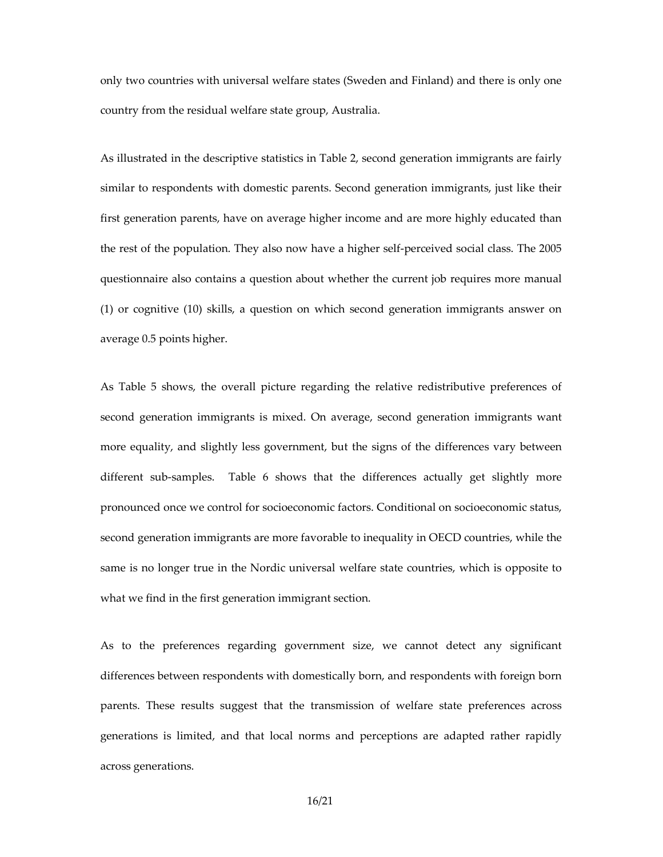only two countries with universal welfare states (Sweden and Finland) and there is only one country from the residual welfare state group, Australia.

As illustrated in the descriptive statistics in Table 2, second generation immigrants are fairly similar to respondents with domestic parents. Second generation immigrants, just like their first generation parents, have on average higher income and are more highly educated than the rest of the population. They also now have a higher self-perceived social class. The 2005 questionnaire also contains a question about whether the current job requires more manual (1) or cognitive (10) skills, a question on which second generation immigrants answer on average 0.5 points higher.

As Table 5 shows, the overall picture regarding the relative redistributive preferences of second generation immigrants is mixed. On average, second generation immigrants want more equality, and slightly less government, but the signs of the differences vary between different sub-samples. Table 6 shows that the differences actually get slightly more pronounced once we control for socioeconomic factors. Conditional on socioeconomic status, second generation immigrants are more favorable to inequality in OECD countries, while the same is no longer true in the Nordic universal welfare state countries, which is opposite to what we find in the first generation immigrant section.

As to the preferences regarding government size, we cannot detect any significant differences between respondents with domestically born, and respondents with foreign born parents. These results suggest that the transmission of welfare state preferences across generations is limited, and that local norms and perceptions are adapted rather rapidly across generations.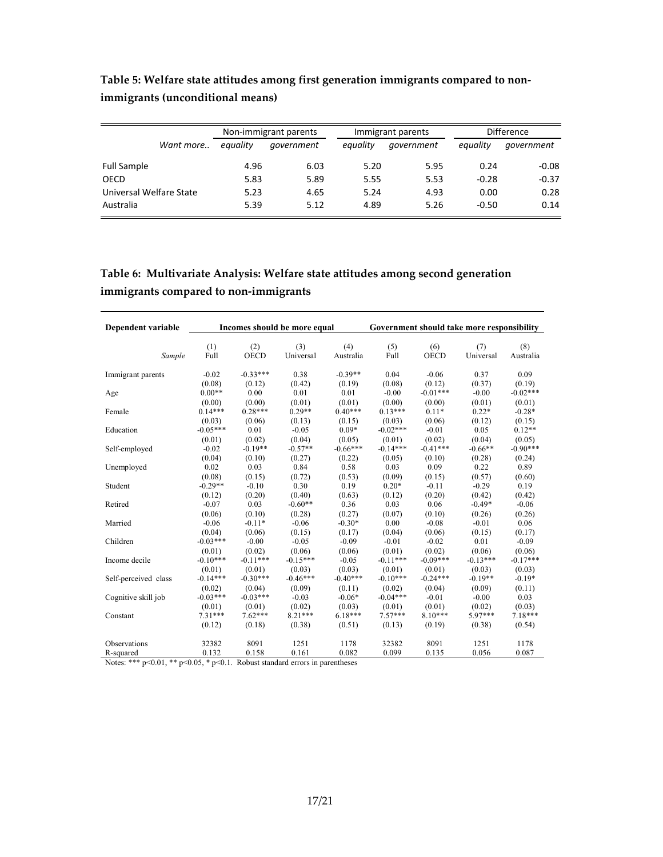|                         |          | Non-immigrant parents |          | Immigrant parents | <b>Difference</b> |            |
|-------------------------|----------|-----------------------|----------|-------------------|-------------------|------------|
| Want more               | equality | government            | eauality | government        | equality          | government |
| <b>Full Sample</b>      | 4.96     | 6.03                  | 5.20     | 5.95              | 0.24              | $-0.08$    |
| OECD                    | 5.83     | 5.89                  | 5.55     | 5.53              | $-0.28$           | $-0.37$    |
| Universal Welfare State | 5.23     | 4.65                  | 5.24     | 4.93              | 0.00              | 0.28       |
| Australia               | 5.39     | 5.12                  | 4.89     | 5.26              | $-0.50$           | 0.14       |

**Table 5: Welfare state attitudes among first generation immigrants compared to nonimmigrants (unconditional means)** 

**Table 6: Multivariate Analysis: Welfare state attitudes among second generation immigrants compared to non-immigrants** 

| Dependent variable   | Incomes should be more equal |                    |                  |                  | Government should take more responsibility |                    |                  |                  |
|----------------------|------------------------------|--------------------|------------------|------------------|--------------------------------------------|--------------------|------------------|------------------|
| Sample               | (1)<br>Full                  | (2)<br><b>OECD</b> | (3)<br>Universal | (4)<br>Australia | (5)<br>Full                                | (6)<br><b>OECD</b> | (7)<br>Universal | (8)<br>Australia |
| Immigrant parents    | $-0.02$                      | $-0.33***$         | 0.38             | $-0.39**$        | 0.04                                       | $-0.06$            | 0.37             | 0.09             |
|                      | (0.08)                       | (0.12)             | (0.42)           | (0.19)           | (0.08)                                     | (0.12)             | (0.37)           | (0.19)           |
| Age                  | $0.00**$                     | 0.00               | 0.01             | 0.01             | $-0.00$                                    | $-0.01***$         | $-0.00$          | $-0.02***$       |
|                      | (0.00)                       | (0.00)             | (0.01)           | (0.01)           | (0.00)                                     | (0.00)             | (0.01)           | (0.01)           |
| Female               | $0.14***$                    | $0.28***$          | $0.29**$         | $0.40***$        | $0.13***$                                  | $0.11*$            | $0.22*$          | $-0.28*$         |
|                      | (0.03)                       | (0.06)             | (0.13)           | (0.15)           | (0.03)                                     | (0.06)             | (0.12)           | (0.15)           |
| Education            | $-0.05***$                   | 0.01               | $-0.05$          | $0.09*$          | $-0.02***$                                 | $-0.01$            | 0.05             | $0.12**$         |
|                      | (0.01)                       | (0.02)             | (0.04)           | (0.05)           | (0.01)                                     | (0.02)             | (0.04)           | (0.05)           |
| Self-employed        | $-0.02$                      | $-0.19**$          | $-0.57**$        | $-0.66***$       | $-0.14***$                                 | $-0.41***$         | $-0.66**$        | $-0.90***$       |
|                      | (0.04)                       | (0.10)             | (0.27)           | (0.22)           | (0.05)                                     | (0.10)             | (0.28)           | (0.24)           |
| Unemployed           | 0.02                         | 0.03               | 0.84             | 0.58             | 0.03                                       | 0.09               | 0.22             | 0.89             |
|                      | (0.08)                       | (0.15)             | (0.72)           | (0.53)           | (0.09)                                     | (0.15)             | (0.57)           | (0.60)           |
| Student              | $-0.29**$                    | $-0.10$            | 0.30             | 0.19             | $0.20*$                                    | $-0.11$            | $-0.29$          | 0.19             |
|                      | (0.12)                       | (0.20)             | (0.40)           | (0.63)           | (0.12)                                     | (0.20)             | (0.42)           | (0.42)           |
| Retired              | $-0.07$                      | 0.03               | $-0.60**$        | 0.36             | 0.03                                       | 0.06               | $-0.49*$         | $-0.06$          |
|                      | (0.06)                       | (0.10)             | (0.28)           | (0.27)           | (0.07)                                     | (0.10)             | (0.26)           | (0.26)           |
| Married              | $-0.06$                      | $-0.11*$           | $-0.06$          | $-0.30*$         | 0.00                                       | $-0.08$            | $-0.01$          | 0.06             |
|                      | (0.04)                       | (0.06)             | (0.15)           | (0.17)           | (0.04)                                     | (0.06)             | (0.15)           | (0.17)           |
| Children             | $-0.03***$                   | $-0.00$            | $-0.05$          | $-0.09$          | $-0.01$                                    | $-0.02$            | 0.01             | $-0.09$          |
|                      | (0.01)                       | (0.02)             | (0.06)           | (0.06)           | (0.01)                                     | (0.02)             | (0.06)           | (0.06)           |
| Income decile        | $-0.10***$                   | $-0.11***$         | $-0.15***$       | $-0.05$          | $-0.11***$                                 | $-0.09***$         | $-0.13***$       | $-0.17***$       |
|                      | (0.01)                       | (0.01)             | (0.03)           | (0.03)           | (0.01)                                     | (0.01)             | (0.03)           | (0.03)           |
| Self-perceived class | $-0.14***$                   | $-0.30***$         | $-0.46***$       | $-0.40***$       | $-0.10***$                                 | $-0.24***$         | $-0.19**$        | $-0.19*$         |
|                      | (0.02)                       | (0.04)             | (0.09)           | (0.11)           | (0.02)                                     | (0.04)             | (0.09)           | (0.11)           |
| Cognitive skill job  | $-0.03***$                   | $-0.03***$         | $-0.03$          | $-0.06*$         | $-0.04***$                                 | $-0.01$            | $-0.00$          | 0.03             |
|                      | (0.01)                       | (0.01)             | (0.02)           | (0.03)           | (0.01)                                     | (0.01)             | (0.02)           | (0.03)           |
| Constant             | $7.31***$                    | $7.62***$          | $8.21***$        | $6.18***$        | $7.57***$                                  | $8.10***$          | $5.97***$        | 7.18***          |
|                      | (0.12)                       | (0.18)             | (0.38)           | (0.51)           | (0.13)                                     | (0.19)             | (0.38)           | (0.54)           |
| Observations         | 32382                        | 8091               | 1251             | 1178             | 32382                                      | 8091               | 1251             | 1178             |
| R-squared            | 0.132                        | 0.158              | 0.161            | 0.082            | 0.099                                      | 0.135              | 0.056            | 0.087            |

Notes: \*\*\* p<0.01, \*\* p<0.05, \* p<0.1. Robust standard errors in parentheses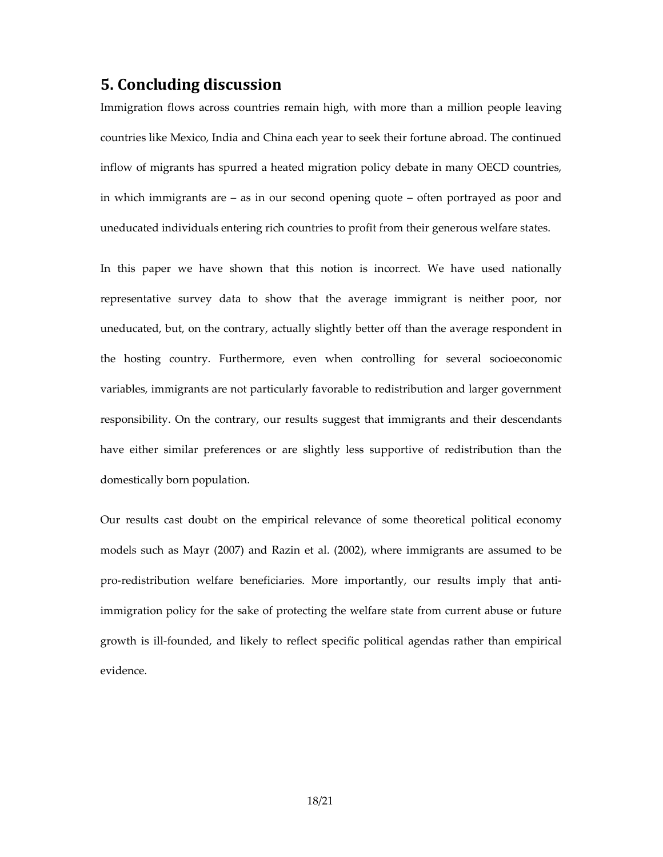## **5. Concluding discussion**

Immigration flows across countries remain high, with more than a million people leaving countries like Mexico, India and China each year to seek their fortune abroad. The continued inflow of migrants has spurred a heated migration policy debate in many OECD countries, in which immigrants are – as in our second opening quote – often portrayed as poor and uneducated individuals entering rich countries to profit from their generous welfare states.

In this paper we have shown that this notion is incorrect. We have used nationally representative survey data to show that the average immigrant is neither poor, nor uneducated, but, on the contrary, actually slightly better off than the average respondent in the hosting country. Furthermore, even when controlling for several socioeconomic variables, immigrants are not particularly favorable to redistribution and larger government responsibility. On the contrary, our results suggest that immigrants and their descendants have either similar preferences or are slightly less supportive of redistribution than the domestically born population.

Our results cast doubt on the empirical relevance of some theoretical political economy models such as Mayr (2007) and Razin et al. (2002), where immigrants are assumed to be pro-redistribution welfare beneficiaries. More importantly, our results imply that antiimmigration policy for the sake of protecting the welfare state from current abuse or future growth is ill-founded, and likely to reflect specific political agendas rather than empirical evidence.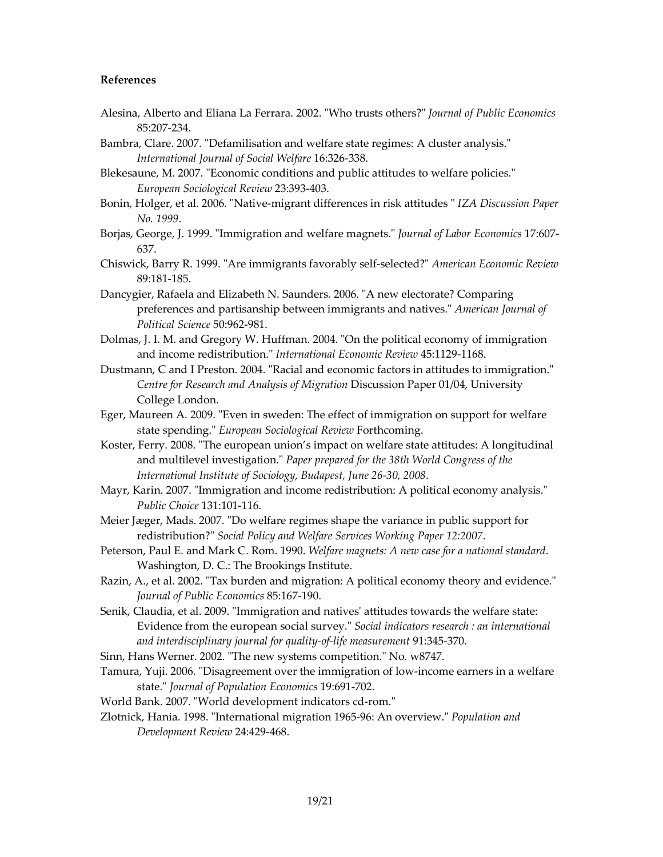#### **References**

- Alesina, Alberto and Eliana La Ferrara. 2002. "Who trusts others?" *Journal of Public Economics* 85:207-234.
- Bambra, Clare. 2007. "Defamilisation and welfare state regimes: A cluster analysis." *International Journal of Social Welfare* 16:326-338.
- Blekesaune, M. 2007. "Economic conditions and public attitudes to welfare policies." *European Sociological Review* 23:393-403.
- Bonin, Holger, et al. 2006. "Native-migrant differences in risk attitudes " *IZA Discussion Paper No. 1999*.
- Borjas, George, J. 1999. "Immigration and welfare magnets." *Journal of Labor Economics* 17:607- 637.
- Chiswick, Barry R. 1999. "Are immigrants favorably self-selected?" *American Economic Review* 89:181-185.
- Dancygier, Rafaela and Elizabeth N. Saunders. 2006. "A new electorate? Comparing preferences and partisanship between immigrants and natives." *American Journal of Political Science* 50:962-981.
- Dolmas, J. I. M. and Gregory W. Huffman. 2004. "On the political economy of immigration and income redistribution." *International Economic Review* 45:1129-1168.
- Dustmann, C and I Preston. 2004. "Racial and economic factors in attitudes to immigration." *Centre for Research and Analysis of Migration* Discussion Paper 01/04, University College London.
- Eger, Maureen A. 2009. "Even in sweden: The effect of immigration on support for welfare state spending." *European Sociological Review* Forthcoming.
- Koster, Ferry. 2008. "The european union's impact on welfare state attitudes: A longitudinal and multilevel investigation." *Paper prepared for the 38th World Congress of the International Institute of Sociology, Budapest, June 26-30, 2008*.
- Mayr, Karin. 2007. "Immigration and income redistribution: A political economy analysis." *Public Choice* 131:101-116.
- Meier Jæger, Mads. 2007. "Do welfare regimes shape the variance in public support for redistribution?" *Social Policy and Welfare Services Working Paper 12:2007*.
- Peterson, Paul E. and Mark C. Rom. 1990. *Welfare magnets: A new case for a national standard*. Washington, D. C.: The Brookings Institute.
- Razin, A., et al. 2002. "Tax burden and migration: A political economy theory and evidence." *Journal of Public Economics* 85:167-190.
- Senik, Claudia, et al. 2009. "Immigration and natives' attitudes towards the welfare state: Evidence from the european social survey." *Social indicators research : an international and interdisciplinary journal for quality-of-life measurement* 91:345-370.
- Sinn, Hans Werner. 2002. "The new systems competition." No. w8747.
- Tamura, Yuji. 2006. "Disagreement over the immigration of low-income earners in a welfare state." *Journal of Population Economics* 19:691-702.
- World Bank. 2007. "World development indicators cd-rom."
- Zlotnick, Hania. 1998. "International migration 1965-96: An overview." *Population and Development Review* 24:429-468.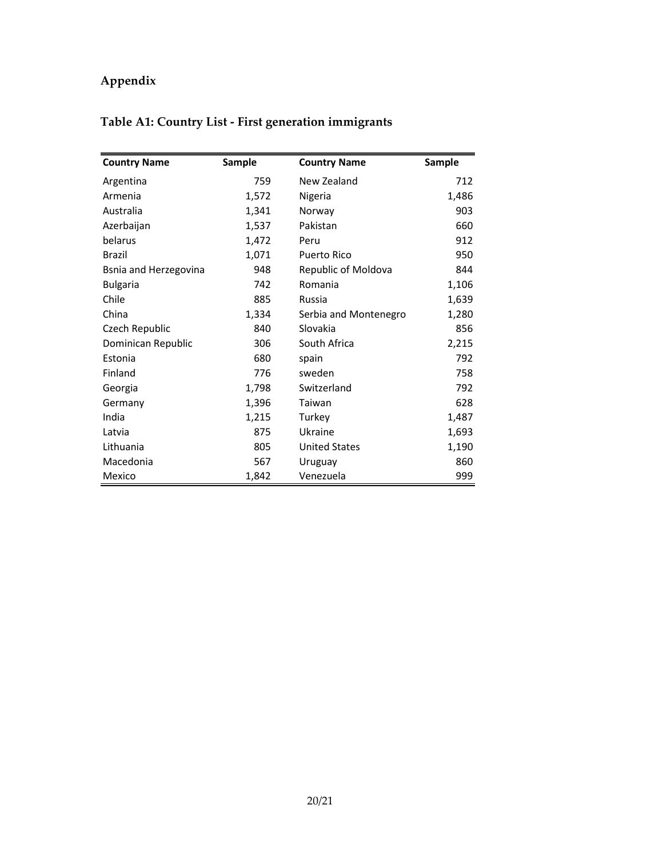# **Appendix**

# **Table A1: Country List - First generation immigrants**

| <b>Country Name</b>   | <b>Sample</b> | <b>Country Name</b>   | Sample |
|-----------------------|---------------|-----------------------|--------|
| Argentina             | 759           | New Zealand           | 712    |
| Armenia               | 1,572         | Nigeria               | 1,486  |
| Australia             | 1,341         | Norway                | 903    |
| Azerbaijan            | 1,537         | Pakistan              | 660    |
| belarus               | 1,472         | Peru                  | 912    |
| Brazil                | 1,071         | <b>Puerto Rico</b>    | 950    |
| Bsnia and Herzegovina | 948           | Republic of Moldova   | 844    |
| <b>Bulgaria</b>       | 742           | Romania               | 1,106  |
| Chile                 | 885           | Russia                | 1,639  |
| China                 | 1,334         | Serbia and Montenegro | 1,280  |
| Czech Republic        | 840           | Slovakia              | 856    |
| Dominican Republic    | 306           | South Africa          | 2,215  |
| Estonia               | 680           | spain                 | 792    |
| Finland               | 776           | sweden                | 758    |
| Georgia               | 1,798         | Switzerland           | 792    |
| Germany               | 1,396         | Taiwan                | 628    |
| India                 | 1,215         | Turkey                | 1,487  |
| Latvia                | 875           | Ukraine               | 1,693  |
| Lithuania             | 805           | <b>United States</b>  | 1,190  |
| Macedonia             | 567           | Uruguay               | 860    |
| Mexico                | 1,842         | Venezuela             | 999    |